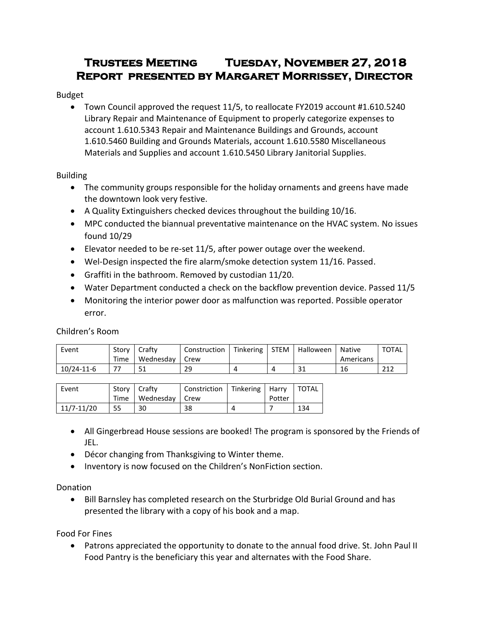# **Trustees Meeting Tuesday, November 27, 2018 Report presented by Margaret Morrissey, Director**

### Budget

 Town Council approved the request 11/5, to reallocate FY2019 account #1.610.5240 Library Repair and Maintenance of Equipment to properly categorize expenses to account 1.610.5343 Repair and Maintenance Buildings and Grounds, account 1.610.5460 Building and Grounds Materials, account 1.610.5580 Miscellaneous Materials and Supplies and account 1.610.5450 Library Janitorial Supplies.

#### Building

- The community groups responsible for the holiday ornaments and greens have made the downtown look very festive.
- A Quality Extinguishers checked devices throughout the building 10/16.
- MPC conducted the biannual preventative maintenance on the HVAC system. No issues found 10/29
- Elevator needed to be re-set 11/5, after power outage over the weekend.
- Wel-Design inspected the fire alarm/smoke detection system 11/16. Passed.
- Graffiti in the bathroom. Removed by custodian 11/20.
- Water Department conducted a check on the backflow prevention device. Passed 11/5
- Monitoring the interior power door as malfunction was reported. Possible operator error.

Children's Room

| Event            | Story | Crafty    | Construction | Tinkering | <b>STEM</b> | Halloween        | Native    | <b>TOTAL</b> |
|------------------|-------|-----------|--------------|-----------|-------------|------------------|-----------|--------------|
|                  | Time  | Wednesday | Crew         |           |             |                  | Americans |              |
| $10/24 - 11 - 6$ | --    | ⊥ ر       | 29           |           |             | <b>D</b> 1<br>JІ | 16        | 212          |

| Event      |    | Story   Crafty<br>Time   Wednesday   Crew | Constriction   Tinkering   Harry   TOTAL | Potter |     |
|------------|----|-------------------------------------------|------------------------------------------|--------|-----|
| 11/7-11/20 | 55 | 30                                        | 38                                       |        | 134 |

- All Gingerbread House sessions are booked! The program is sponsored by the Friends of JEL.
- Décor changing from Thanksgiving to Winter theme.
- Inventory is now focused on the Children's NonFiction section.

Donation

 Bill Barnsley has completed research on the Sturbridge Old Burial Ground and has presented the library with a copy of his book and a map.

Food For Fines

 Patrons appreciated the opportunity to donate to the annual food drive. St. John Paul II Food Pantry is the beneficiary this year and alternates with the Food Share.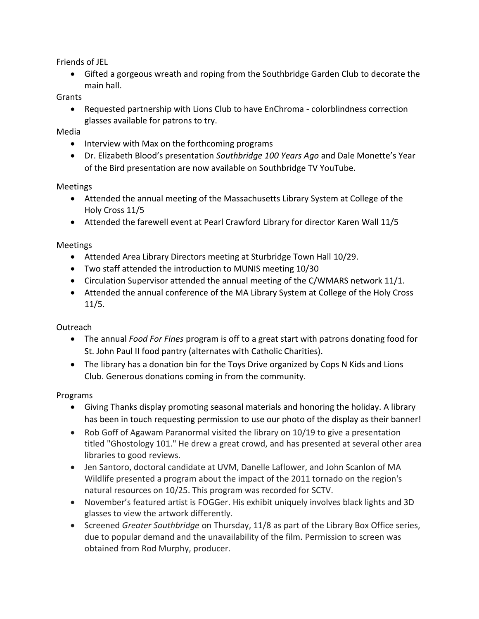Friends of JEL

 Gifted a gorgeous wreath and roping from the Southbridge Garden Club to decorate the main hall.

Grants

 Requested partnership with Lions Club to have EnChroma - colorblindness correction glasses available for patrons to try.

Media

- Interview with Max on the forthcoming programs
- Dr. Elizabeth Blood's presentation *Southbridge 100 Years Ago* and Dale Monette's Year of the Bird presentation are now available on Southbridge TV YouTube.

Meetings

- Attended the annual meeting of the Massachusetts Library System at College of the Holy Cross 11/5
- Attended the farewell event at Pearl Crawford Library for director Karen Wall 11/5

Meetings

- Attended Area Library Directors meeting at Sturbridge Town Hall 10/29.
- Two staff attended the introduction to MUNIS meeting 10/30
- Circulation Supervisor attended the annual meeting of the C/WMARS network 11/1.
- Attended the annual conference of the MA Library System at College of the Holy Cross 11/5.

**Outreach** 

- The annual *Food For Fines* program is off to a great start with patrons donating food for St. John Paul II food pantry (alternates with Catholic Charities).
- The library has a donation bin for the Toys Drive organized by Cops N Kids and Lions Club. Generous donations coming in from the community.

Programs

- Giving Thanks display promoting seasonal materials and honoring the holiday. A library has been in touch requesting permission to use our photo of the display as their banner!
- Rob Goff of Agawam Paranormal visited the library on 10/19 to give a presentation titled "Ghostology 101." He drew a great crowd, and has presented at several other area libraries to good reviews.
- Jen Santoro, doctoral candidate at UVM, Danelle Laflower, and John Scanlon of MA Wildlife presented a program about the impact of the 2011 tornado on the region's natural resources on 10/25. This program was recorded for SCTV.
- November's featured artist is FOGGer. His exhibit uniquely involves black lights and 3D glasses to view the artwork differently.
- Screened *Greater Southbridge* on Thursday, 11/8 as part of the Library Box Office series, due to popular demand and the unavailability of the film. Permission to screen was obtained from Rod Murphy, producer.